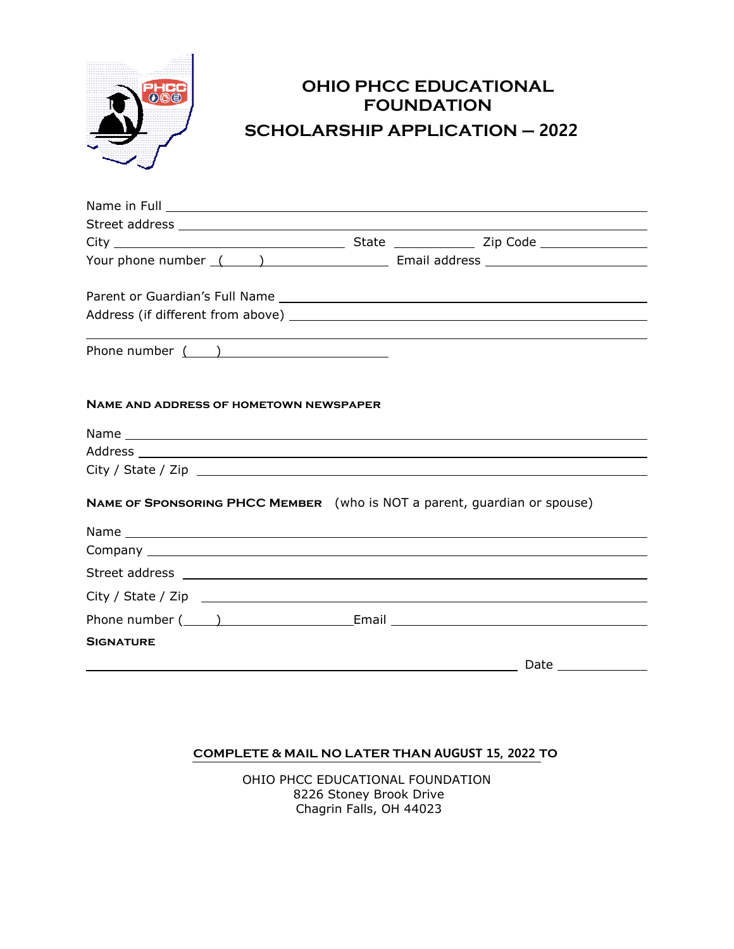

# **OHIO PHCC EDUCATIONAL FOUNDATION SCHOLARSHIP APPLICATION – 2022**

| Your phone number (1999) [19] [19] Email address [19] Email and Email and Fernandicular Line and Tennis Line and Tennis Line and Tennis Line and Tennis Line and Tennis Line and Tennis Line and Tennis Line and Tennis Line a |  |                                            |
|--------------------------------------------------------------------------------------------------------------------------------------------------------------------------------------------------------------------------------|--|--------------------------------------------|
|                                                                                                                                                                                                                                |  |                                            |
|                                                                                                                                                                                                                                |  |                                            |
| Phone number $($ $)$                                                                                                                                                                                                           |  |                                            |
| <b>NAME AND ADDRESS OF HOMETOWN NEWSPAPER</b>                                                                                                                                                                                  |  |                                            |
|                                                                                                                                                                                                                                |  |                                            |
|                                                                                                                                                                                                                                |  |                                            |
|                                                                                                                                                                                                                                |  |                                            |
| NAME OF SPONSORING PHCC MEMBER (who is NOT a parent, guardian or spouse)                                                                                                                                                       |  |                                            |
|                                                                                                                                                                                                                                |  |                                            |
|                                                                                                                                                                                                                                |  |                                            |
| Street address experiences and the street and the street and the street and the street and the street and the                                                                                                                  |  |                                            |
| City / State / Zip                                                                                                                                                                                                             |  |                                            |
| Phone number ( ) The Letter of Email Letter and School and The Letter and School and The Letter and School and The Letter and School and The Letter and School and The Letter and The Letter and The Letter and The Letter and |  |                                            |
| <b>SIGNATURE</b>                                                                                                                                                                                                               |  |                                            |
|                                                                                                                                                                                                                                |  | <b>Example 2</b> Date <u>Conserversion</u> |

## **COMPLETE & MAIL NO LATER THAN AUGUST 15, 2022 TO**

OHIO PHCC EDUCATIONAL FOUNDATION 8226 Stoney Brook Drive Chagrin Falls, OH 44023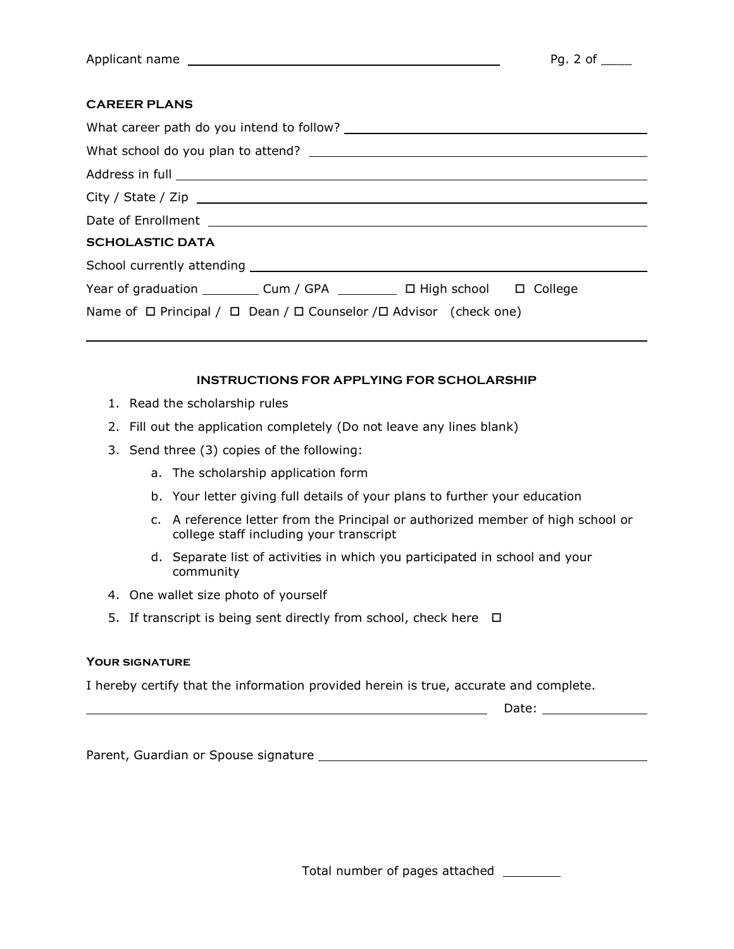## **CAREER PLANS**

 $\overline{a}$ 

| <b>SCHOLASTIC DATA</b>                                                                 |  |  |  |  |
|----------------------------------------------------------------------------------------|--|--|--|--|
|                                                                                        |  |  |  |  |
| Year of graduation ____________ Cum / GPA ____________ □ High school   □ College       |  |  |  |  |
| Name of $\Box$ Principal / $\Box$ Dean / $\Box$ Counselor / $\Box$ Advisor (check one) |  |  |  |  |

## **INSTRUCTIONS FOR APPLYING FOR SCHOLARSHIP**

- 1. Read the scholarship rules
- 2. Fill out the application completely (Do not leave any lines blank)
- 3. Send three (3) copies of the following:
	- a. The scholarship application form
	- b. Your letter giving full details of your plans to further your education
	- c. A reference letter from the Principal or authorized member of high school or college staff including your transcript
	- d. Separate list of activities in which you participated in school and your community
- 4. One wallet size photo of yourself
- 5. If transcript is being sent directly from school, check here  $\Box$

#### **Your signature**

I hereby certify that the information provided herein is true, accurate and complete.

Date:

Parent, Guardian or Spouse signature

Total number of pages attached